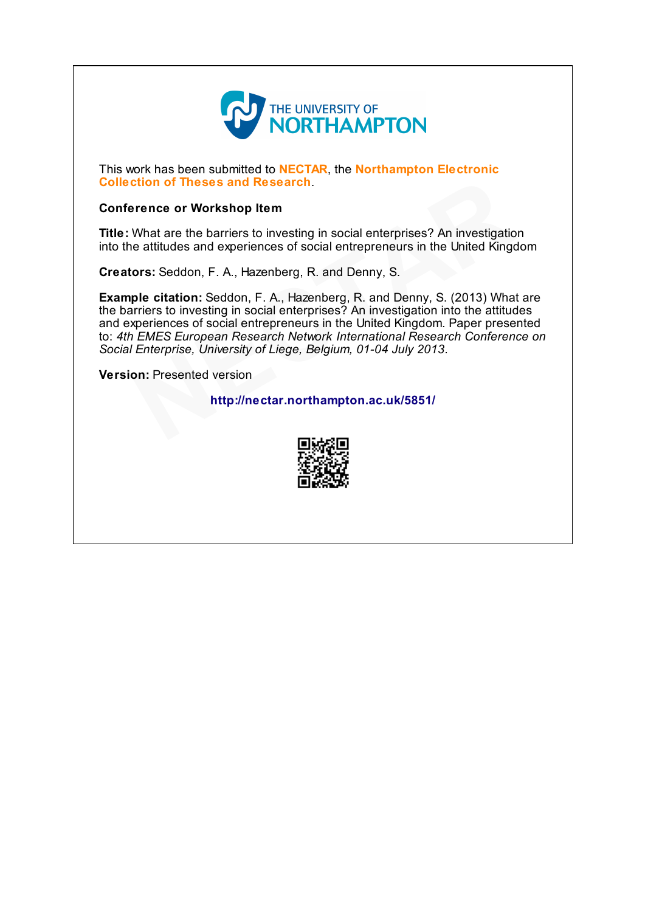

This work has been submitted to **NECTAR**, the **Northampton Electronic** Collection of Theses and Research.

#### Conference or Workshop Item

Title: What are the barriers to investing in social enterprises? An investigation into the attitudes and experiences of social entrepreneurs in the United Kingdom

Creators: Seddon, F. A., Hazenberg, R. and Denny, S.

Example citation: Seddon, F. A., Hazenberg, R. and Denny, S. (2013) What are the barriers to investing in social enterprises? An investigation into the attitudes and experiences of social entrepreneurs in the United Kingdom. Paper presented to: 4th EMES European Research Network International Research Conference on Social Enterprise, University of Liege, Belgium, 01-04 July 2013. ortion of Theses and Research.<br>
What are the barriers to investing in social enterprises? An investigation<br>
e attitudes and experiences of social enterpreneurs in the United Kingd<br>
ors: Seddon, F. A., Hazenberg, R. and Den

Version: Presented version

## http://nectar.northampton.ac.uk/5851/

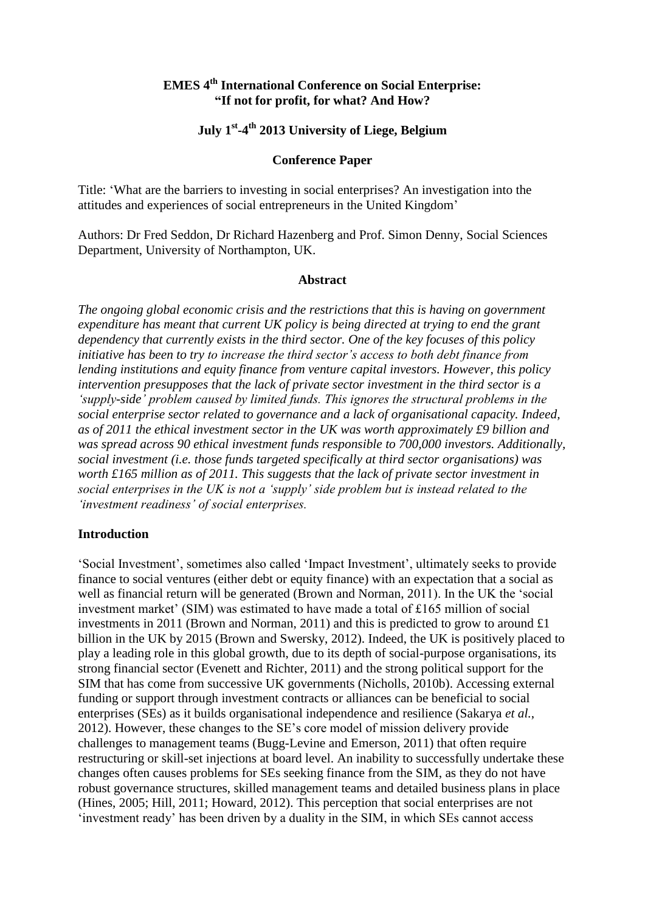# **EMES 4th International Conference on Social Enterprise: "If not for profit, for what? And How?**

# **July 1st -4 th 2013 University of Liege, Belgium**

#### **Conference Paper**

Title: 'What are the barriers to investing in social enterprises? An investigation into the attitudes and experiences of social entrepreneurs in the United Kingdom'

Authors: Dr Fred Seddon, Dr Richard Hazenberg and Prof. Simon Denny, Social Sciences Department, University of Northampton, UK.

#### **Abstract**

*The ongoing global economic crisis and the restrictions that this is having on government expenditure has meant that current UK policy is being directed at trying to end the grant dependency that currently exists in the third sector. One of the key focuses of this policy initiative has been to try to increase the third sector's access to both debt finance from lending institutions and equity finance from venture capital investors. However, this policy intervention presupposes that the lack of private sector investment in the third sector is a 'supply-side' problem caused by limited funds. This ignores the structural problems in the social enterprise sector related to governance and a lack of organisational capacity. Indeed, as of 2011 the ethical investment sector in the UK was worth approximately £9 billion and was spread across 90 ethical investment funds responsible to 700,000 investors. Additionally, social investment (i.e. those funds targeted specifically at third sector organisations) was worth £165 million as of 2011. This suggests that the lack of private sector investment in social enterprises in the UK is not a 'supply' side problem but is instead related to the 'investment readiness' of social enterprises.*

#### **Introduction**

'Social Investment', sometimes also called 'Impact Investment', ultimately seeks to provide finance to social ventures (either debt or equity finance) with an expectation that a social as well as financial return will be generated (Brown and Norman, 2011). In the UK the 'social investment market' (SIM) was estimated to have made a total of £165 million of social investments in 2011 (Brown and Norman, 2011) and this is predicted to grow to around £1 billion in the UK by 2015 (Brown and Swersky, 2012). Indeed, the UK is positively placed to play a leading role in this global growth, due to its depth of social-purpose organisations, its strong financial sector (Evenett and Richter, 2011) and the strong political support for the SIM that has come from successive UK governments (Nicholls, 2010b). Accessing external funding or support through investment contracts or alliances can be beneficial to social enterprises (SEs) as it builds organisational independence and resilience (Sakarya *et al.*, 2012). However, these changes to the SE's core model of mission delivery provide challenges to management teams (Bugg-Levine and Emerson, 2011) that often require restructuring or skill-set injections at board level. An inability to successfully undertake these changes often causes problems for SEs seeking finance from the SIM, as they do not have robust governance structures, skilled management teams and detailed business plans in place (Hines, 2005; Hill, 2011; Howard, 2012). This perception that social enterprises are not 'investment ready' has been driven by a duality in the SIM, in which SEs cannot access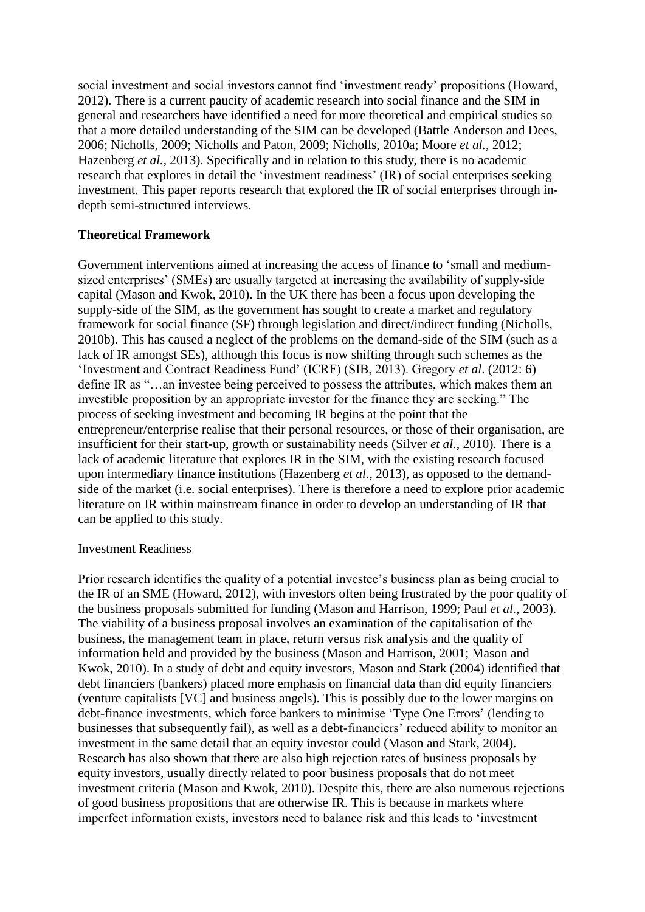social investment and social investors cannot find 'investment ready' propositions (Howard, 2012). There is a current paucity of academic research into social finance and the SIM in general and researchers have identified a need for more theoretical and empirical studies so that a more detailed understanding of the SIM can be developed (Battle Anderson and Dees, 2006; Nicholls, 2009; Nicholls and Paton, 2009; Nicholls, 2010a; Moore *et al.*, 2012; Hazenberg *et al.,* 2013). Specifically and in relation to this study, there is no academic research that explores in detail the 'investment readiness' (IR) of social enterprises seeking investment. This paper reports research that explored the IR of social enterprises through indepth semi-structured interviews.

# **Theoretical Framework**

Government interventions aimed at increasing the access of finance to 'small and mediumsized enterprises' (SMEs) are usually targeted at increasing the availability of supply-side capital (Mason and Kwok, 2010). In the UK there has been a focus upon developing the supply-side of the SIM, as the government has sought to create a market and regulatory framework for social finance (SF) through legislation and direct/indirect funding (Nicholls, 2010b). This has caused a neglect of the problems on the demand-side of the SIM (such as a lack of IR amongst SEs), although this focus is now shifting through such schemes as the 'Investment and Contract Readiness Fund' (ICRF) (SIB, 2013). Gregory *et al*. (2012: 6) define IR as "…an investee being perceived to possess the attributes, which makes them an investible proposition by an appropriate investor for the finance they are seeking." The process of seeking investment and becoming IR begins at the point that the entrepreneur/enterprise realise that their personal resources, or those of their organisation, are insufficient for their start-up, growth or sustainability needs (Silver *et al.*, 2010). There is a lack of academic literature that explores IR in the SIM, with the existing research focused upon intermediary finance institutions (Hazenberg *et al.*, 2013), as opposed to the demandside of the market (i.e. social enterprises). There is therefore a need to explore prior academic literature on IR within mainstream finance in order to develop an understanding of IR that can be applied to this study.

### Investment Readiness

Prior research identifies the quality of a potential investee's business plan as being crucial to the IR of an SME (Howard, 2012), with investors often being frustrated by the poor quality of the business proposals submitted for funding (Mason and Harrison, 1999; Paul *et al.*, 2003). The viability of a business proposal involves an examination of the capitalisation of the business, the management team in place, return versus risk analysis and the quality of information held and provided by the business (Mason and Harrison, 2001; Mason and Kwok, 2010). In a study of debt and equity investors, Mason and Stark (2004) identified that debt financiers (bankers) placed more emphasis on financial data than did equity financiers (venture capitalists [VC] and business angels). This is possibly due to the lower margins on debt-finance investments, which force bankers to minimise 'Type One Errors' (lending to businesses that subsequently fail), as well as a debt-financiers' reduced ability to monitor an investment in the same detail that an equity investor could (Mason and Stark, 2004). Research has also shown that there are also high rejection rates of business proposals by equity investors, usually directly related to poor business proposals that do not meet investment criteria (Mason and Kwok, 2010). Despite this, there are also numerous rejections of good business propositions that are otherwise IR. This is because in markets where imperfect information exists, investors need to balance risk and this leads to 'investment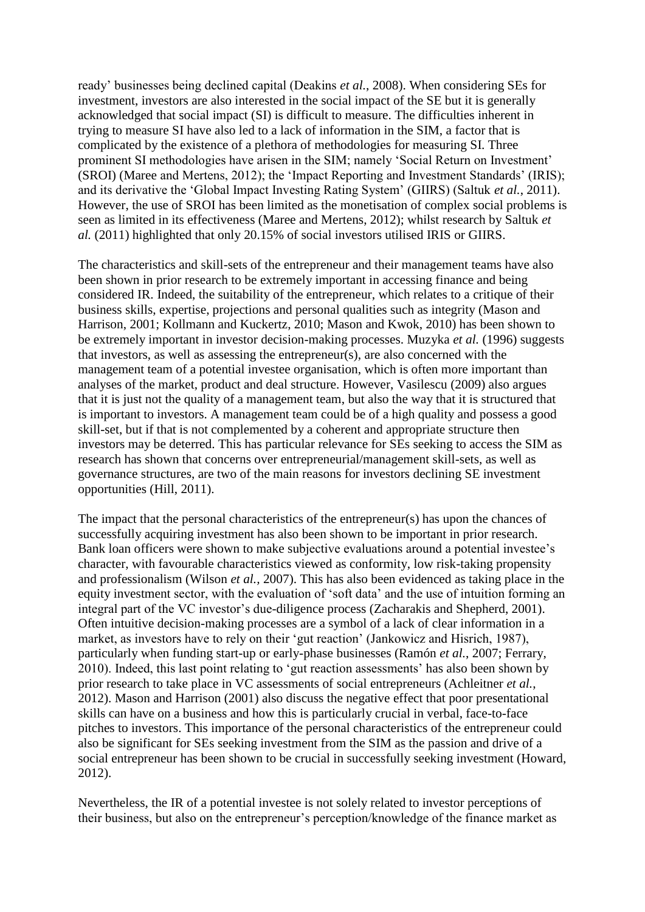ready' businesses being declined capital (Deakins *et al.*, 2008). When considering SEs for investment, investors are also interested in the social impact of the SE but it is generally acknowledged that social impact (SI) is difficult to measure. The difficulties inherent in trying to measure SI have also led to a lack of information in the SIM, a factor that is complicated by the existence of a plethora of methodologies for measuring SI. Three prominent SI methodologies have arisen in the SIM; namely 'Social Return on Investment' (SROI) (Maree and Mertens, 2012); the 'Impact Reporting and Investment Standards' (IRIS); and its derivative the 'Global Impact Investing Rating System' (GIIRS) (Saltuk *et al.*, 2011). However, the use of SROI has been limited as the monetisation of complex social problems is seen as limited in its effectiveness (Maree and Mertens, 2012); whilst research by Saltuk *et al.* (2011) highlighted that only 20.15% of social investors utilised IRIS or GIIRS.

The characteristics and skill-sets of the entrepreneur and their management teams have also been shown in prior research to be extremely important in accessing finance and being considered IR. Indeed, the suitability of the entrepreneur, which relates to a critique of their business skills, expertise, projections and personal qualities such as integrity (Mason and Harrison, 2001; Kollmann and Kuckertz, 2010; Mason and Kwok, 2010) has been shown to be extremely important in investor decision-making processes. Muzyka *et al.* (1996) suggests that investors, as well as assessing the entrepreneur(s), are also concerned with the management team of a potential investee organisation, which is often more important than analyses of the market, product and deal structure. However, Vasilescu (2009) also argues that it is just not the quality of a management team, but also the way that it is structured that is important to investors. A management team could be of a high quality and possess a good skill-set, but if that is not complemented by a coherent and appropriate structure then investors may be deterred. This has particular relevance for SEs seeking to access the SIM as research has shown that concerns over entrepreneurial/management skill-sets, as well as governance structures, are two of the main reasons for investors declining SE investment opportunities (Hill, 2011).

The impact that the personal characteristics of the entrepreneur(s) has upon the chances of successfully acquiring investment has also been shown to be important in prior research. Bank loan officers were shown to make subjective evaluations around a potential investee's character, with favourable characteristics viewed as conformity, low risk-taking propensity and professionalism (Wilson *et al.,* 2007). This has also been evidenced as taking place in the equity investment sector, with the evaluation of 'soft data' and the use of intuition forming an integral part of the VC investor's due-diligence process (Zacharakis and Shepherd, 2001). Often intuitive decision-making processes are a symbol of a lack of clear information in a market, as investors have to rely on their 'gut reaction' (Jankowicz and Hisrich, 1987), particularly when funding start-up or early-phase businesses (Ramón *et al.*, 2007; Ferrary, 2010). Indeed, this last point relating to 'gut reaction assessments' has also been shown by prior research to take place in VC assessments of social entrepreneurs (Achleitner *et al.*, 2012). Mason and Harrison (2001) also discuss the negative effect that poor presentational skills can have on a business and how this is particularly crucial in verbal, face-to-face pitches to investors. This importance of the personal characteristics of the entrepreneur could also be significant for SEs seeking investment from the SIM as the passion and drive of a social entrepreneur has been shown to be crucial in successfully seeking investment (Howard, 2012).

Nevertheless, the IR of a potential investee is not solely related to investor perceptions of their business, but also on the entrepreneur's perception/knowledge of the finance market as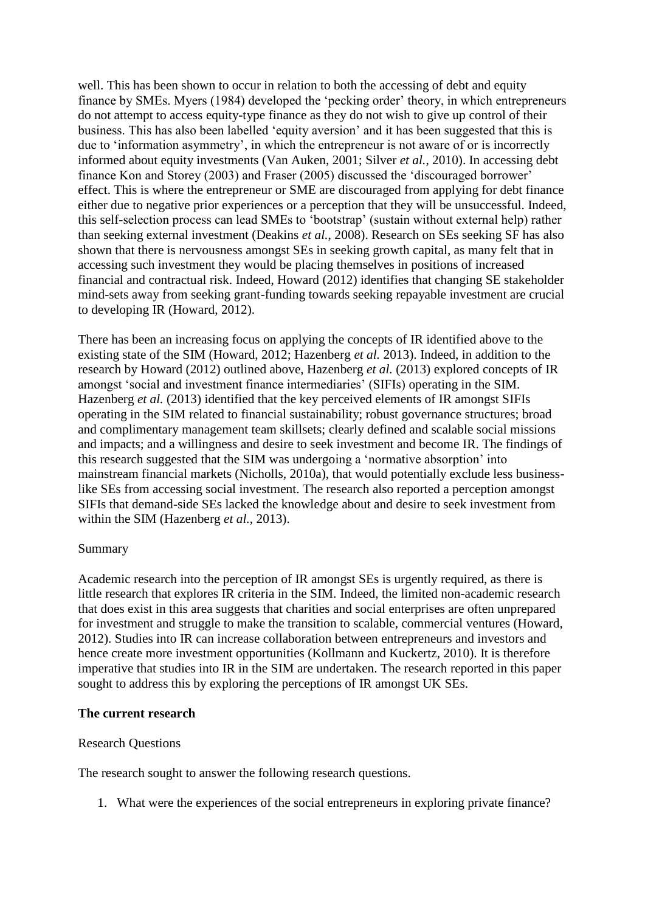well. This has been shown to occur in relation to both the accessing of debt and equity finance by SMEs. Myers (1984) developed the 'pecking order' theory, in which entrepreneurs do not attempt to access equity-type finance as they do not wish to give up control of their business. This has also been labelled 'equity aversion' and it has been suggested that this is due to 'information asymmetry', in which the entrepreneur is not aware of or is incorrectly informed about equity investments (Van Auken, 2001; Silver *et al.*, 2010). In accessing debt finance Kon and Storey (2003) and Fraser (2005) discussed the 'discouraged borrower' effect. This is where the entrepreneur or SME are discouraged from applying for debt finance either due to negative prior experiences or a perception that they will be unsuccessful. Indeed, this self-selection process can lead SMEs to 'bootstrap' (sustain without external help) rather than seeking external investment (Deakins *et al.*, 2008). Research on SEs seeking SF has also shown that there is nervousness amongst SEs in seeking growth capital, as many felt that in accessing such investment they would be placing themselves in positions of increased financial and contractual risk. Indeed, Howard (2012) identifies that changing SE stakeholder mind-sets away from seeking grant-funding towards seeking repayable investment are crucial to developing IR (Howard, 2012).

There has been an increasing focus on applying the concepts of IR identified above to the existing state of the SIM (Howard, 2012; Hazenberg *et al.* 2013). Indeed, in addition to the research by Howard (2012) outlined above, Hazenberg *et al.* (2013) explored concepts of IR amongst 'social and investment finance intermediaries' (SIFIs) operating in the SIM. Hazenberg *et al.* (2013) identified that the key perceived elements of IR amongst SIFIs operating in the SIM related to financial sustainability; robust governance structures; broad and complimentary management team skillsets; clearly defined and scalable social missions and impacts; and a willingness and desire to seek investment and become IR. The findings of this research suggested that the SIM was undergoing a 'normative absorption' into mainstream financial markets (Nicholls, 2010a), that would potentially exclude less businesslike SEs from accessing social investment. The research also reported a perception amongst SIFIs that demand-side SEs lacked the knowledge about and desire to seek investment from within the SIM (Hazenberg *et al.,* 2013).

### Summary

Academic research into the perception of IR amongst SEs is urgently required, as there is little research that explores IR criteria in the SIM. Indeed, the limited non-academic research that does exist in this area suggests that charities and social enterprises are often unprepared for investment and struggle to make the transition to scalable, commercial ventures (Howard, 2012). Studies into IR can increase collaboration between entrepreneurs and investors and hence create more investment opportunities (Kollmann and Kuckertz, 2010). It is therefore imperative that studies into IR in the SIM are undertaken. The research reported in this paper sought to address this by exploring the perceptions of IR amongst UK SEs.

#### **The current research**

#### Research Questions

The research sought to answer the following research questions.

1. What were the experiences of the social entrepreneurs in exploring private finance?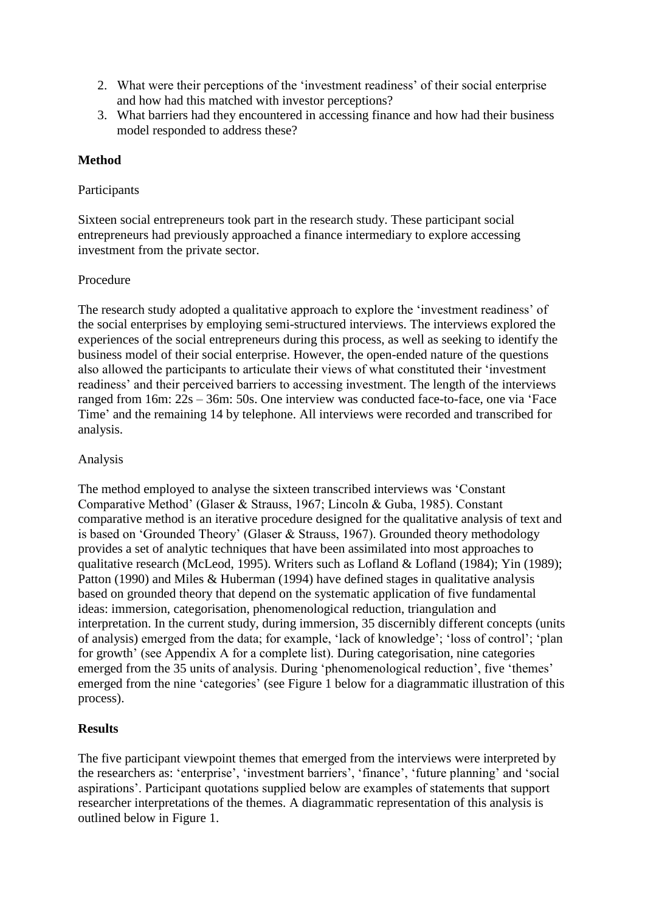- 2. What were their perceptions of the 'investment readiness' of their social enterprise and how had this matched with investor perceptions?
- 3. What barriers had they encountered in accessing finance and how had their business model responded to address these?

# **Method**

## **Participants**

Sixteen social entrepreneurs took part in the research study. These participant social entrepreneurs had previously approached a finance intermediary to explore accessing investment from the private sector.

## Procedure

The research study adopted a qualitative approach to explore the 'investment readiness' of the social enterprises by employing semi-structured interviews. The interviews explored the experiences of the social entrepreneurs during this process, as well as seeking to identify the business model of their social enterprise. However, the open-ended nature of the questions also allowed the participants to articulate their views of what constituted their 'investment readiness' and their perceived barriers to accessing investment. The length of the interviews ranged from 16m: 22s – 36m: 50s. One interview was conducted face-to-face, one via 'Face Time' and the remaining 14 by telephone. All interviews were recorded and transcribed for analysis.

## Analysis

The method employed to analyse the sixteen transcribed interviews was 'Constant Comparative Method' (Glaser & Strauss, 1967; Lincoln & Guba, 1985). Constant comparative method is an iterative procedure designed for the qualitative analysis of text and is based on 'Grounded Theory' (Glaser & Strauss, 1967). Grounded theory methodology provides a set of analytic techniques that have been assimilated into most approaches to qualitative research (McLeod, 1995). Writers such as Lofland & Lofland (1984); Yin (1989); Patton (1990) and Miles & Huberman (1994) have defined stages in qualitative analysis based on grounded theory that depend on the systematic application of five fundamental ideas: immersion, categorisation, phenomenological reduction, triangulation and interpretation. In the current study, during immersion, 35 discernibly different concepts (units of analysis) emerged from the data; for example, 'lack of knowledge'; 'loss of control'; 'plan for growth' (see Appendix A for a complete list). During categorisation, nine categories emerged from the 35 units of analysis. During 'phenomenological reduction', five 'themes' emerged from the nine 'categories' (see Figure 1 below for a diagrammatic illustration of this process).

# **Results**

The five participant viewpoint themes that emerged from the interviews were interpreted by the researchers as: 'enterprise', 'investment barriers', 'finance', 'future planning' and 'social aspirations'. Participant quotations supplied below are examples of statements that support researcher interpretations of the themes. A diagrammatic representation of this analysis is outlined below in Figure 1.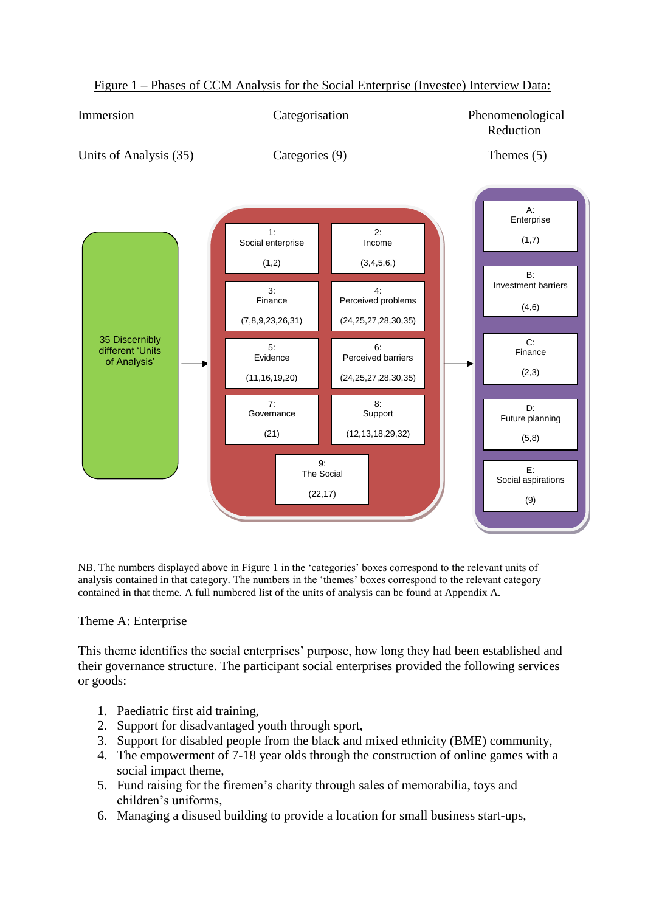

Figure 1 – Phases of CCM Analysis for the Social Enterprise (Investee) Interview Data:

NB. The numbers displayed above in Figure 1 in the 'categories' boxes correspond to the relevant units of analysis contained in that category. The numbers in the 'themes' boxes correspond to the relevant category contained in that theme. A full numbered list of the units of analysis can be found at Appendix A.

# Theme A: Enterprise

This theme identifies the social enterprises' purpose, how long they had been established and their governance structure. The participant social enterprises provided the following services or goods:

- 1. Paediatric first aid training,
- 2. Support for disadvantaged youth through sport,
- 3. Support for disabled people from the black and mixed ethnicity (BME) community,
- 4. The empowerment of 7-18 year olds through the construction of online games with a social impact theme,
- 5. Fund raising for the firemen's charity through sales of memorabilia, toys and children's uniforms,
- 6. Managing a disused building to provide a location for small business start-ups,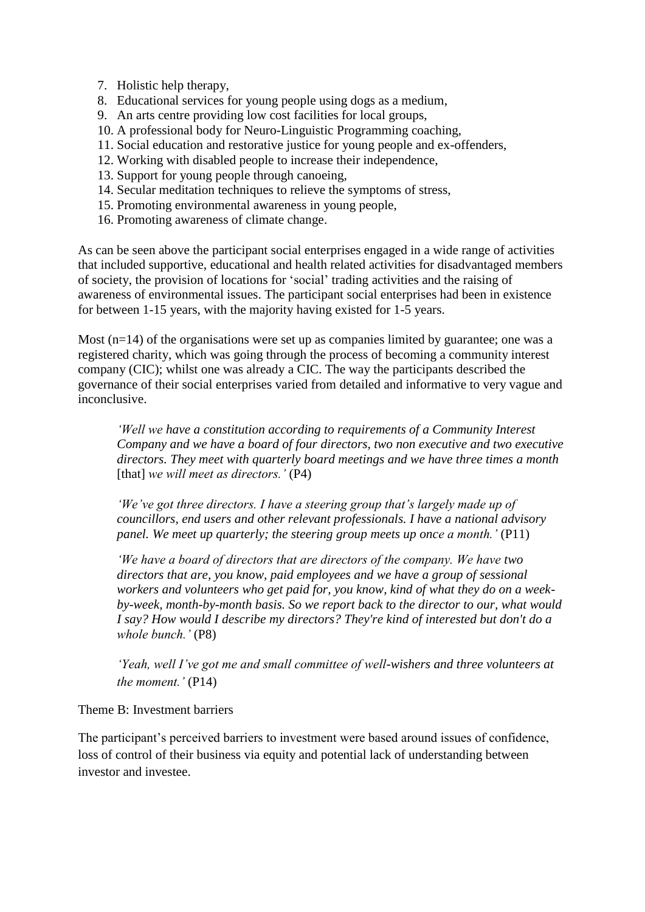- 7. Holistic help therapy,
- 8. Educational services for young people using dogs as a medium,
- 9. An arts centre providing low cost facilities for local groups,
- 10. A professional body for Neuro-Linguistic Programming coaching,
- 11. Social education and restorative justice for young people and ex-offenders,
- 12. Working with disabled people to increase their independence,
- 13. Support for young people through canoeing,
- 14. Secular meditation techniques to relieve the symptoms of stress,
- 15. Promoting environmental awareness in young people,
- 16. Promoting awareness of climate change.

As can be seen above the participant social enterprises engaged in a wide range of activities that included supportive, educational and health related activities for disadvantaged members of society, the provision of locations for 'social' trading activities and the raising of awareness of environmental issues. The participant social enterprises had been in existence for between 1-15 years, with the majority having existed for 1-5 years.

Most  $(n=14)$  of the organisations were set up as companies limited by guarantee; one was a registered charity, which was going through the process of becoming a community interest company (CIC); whilst one was already a CIC. The way the participants described the governance of their social enterprises varied from detailed and informative to very vague and inconclusive.

*'Well we have a constitution according to requirements of a Community Interest Company and we have a board of four directors, two non executive and two executive directors. They meet with quarterly board meetings and we have three times a month*  [that] *we will meet as directors.'* (P4)

*'We've got three directors. I have a steering group that's largely made up of councillors, end users and other relevant professionals. I have a national advisory panel. We meet up quarterly; the steering group meets up once a month.'* (P11)

*'We have a board of directors that are directors of the company. We have two directors that are, you know, paid employees and we have a group of sessional workers and volunteers who get paid for, you know, kind of what they do on a weekby-week, month-by-month basis. So we report back to the director to our, what would I say? How would I describe my directors? They're kind of interested but don't do a whole bunch.'* (P8)

*'Yeah, well I've got me and small committee of well-wishers and three volunteers at the moment.'* (P14)

## Theme B: Investment barriers

The participant's perceived barriers to investment were based around issues of confidence, loss of control of their business via equity and potential lack of understanding between investor and investee.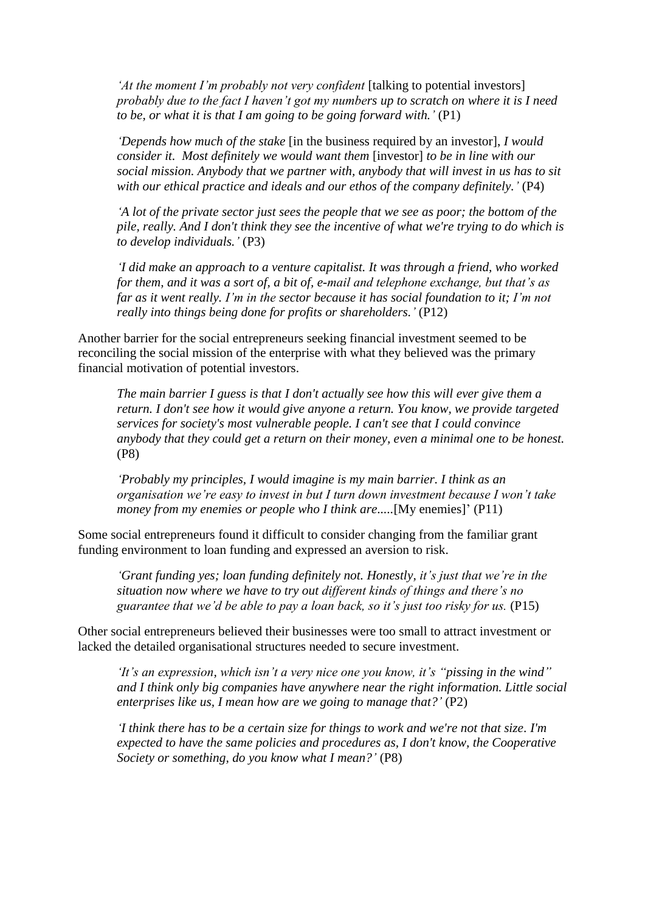*'At the moment I'm probably not very confident* [talking to potential investors] *probably due to the fact I haven't got my numbers up to scratch on where it is I need to be, or what it is that I am going to be going forward with.'* (P1)

*'Depends how much of the stake* [in the business required by an investor], *I would consider it. Most definitely we would want them [investor] to be in line with our social mission. Anybody that we partner with, anybody that will invest in us has to sit with our ethical practice and ideals and our ethos of the company definitely.'* (P4)

*'A lot of the private sector just sees the people that we see as poor; the bottom of the pile, really. And I don't think they see the incentive of what we're trying to do which is to develop individuals.'* (P3)

*'I did make an approach to a venture capitalist. It was through a friend, who worked for them, and it was a sort of, a bit of, e-mail and telephone exchange, but that's as far as it went really. I'm in the sector because it has social foundation to it; I'm not really into things being done for profits or shareholders.'* (P12)

Another barrier for the social entrepreneurs seeking financial investment seemed to be reconciling the social mission of the enterprise with what they believed was the primary financial motivation of potential investors.

*The main barrier I guess is that I don't actually see how this will ever give them a return. I don't see how it would give anyone a return. You know, we provide targeted services for society's most vulnerable people. I can't see that I could convince anybody that they could get a return on their money, even a minimal one to be honest.* (P8)

*'Probably my principles, I would imagine is my main barrier. I think as an organisation we're easy to invest in but I turn down investment because I won't take money from my enemies or people who I think are.....*[My enemies]' (P11)

Some social entrepreneurs found it difficult to consider changing from the familiar grant funding environment to loan funding and expressed an aversion to risk.

*'Grant funding yes; loan funding definitely not. Honestly, it's just that we're in the situation now where we have to try out different kinds of things and there's no guarantee that we'd be able to pay a loan back, so it's just too risky for us.* (P15)

Other social entrepreneurs believed their businesses were too small to attract investment or lacked the detailed organisational structures needed to secure investment.

*'It's an expression, which isn't a very nice one you know, it's "pissing in the wind" and I think only big companies have anywhere near the right information. Little social enterprises like us, I mean how are we going to manage that?'* (P2)

*'I think there has to be a certain size for things to work and we're not that size. I'm expected to have the same policies and procedures as, I don't know, the Cooperative Society or something, do you know what I mean?'* (P8)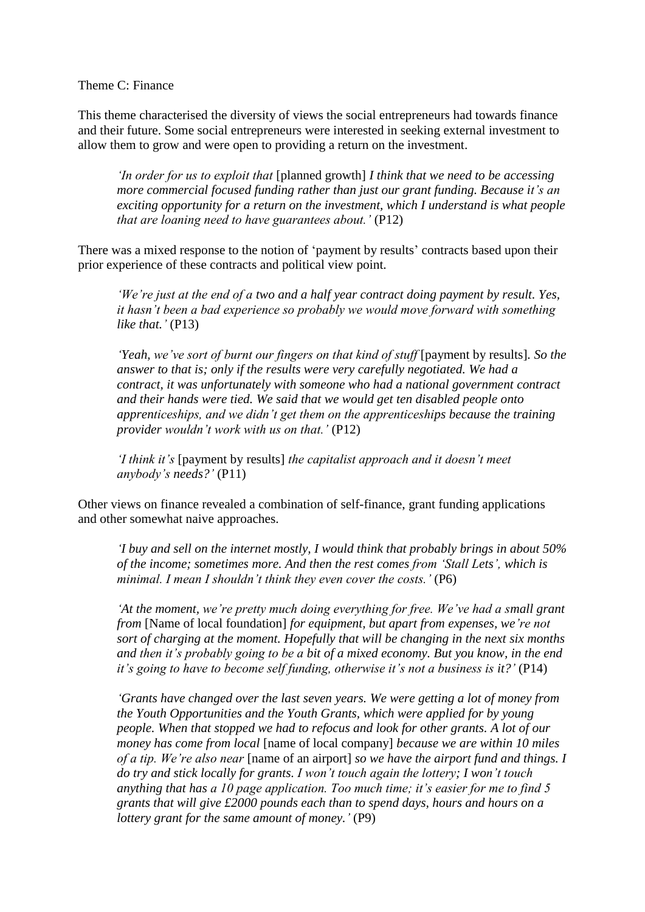Theme C: Finance

This theme characterised the diversity of views the social entrepreneurs had towards finance and their future. Some social entrepreneurs were interested in seeking external investment to allow them to grow and were open to providing a return on the investment.

*'In order for us to exploit that* [planned growth] *I think that we need to be accessing more commercial focused funding rather than just our grant funding. Because it's an exciting opportunity for a return on the investment, which I understand is what people that are loaning need to have guarantees about.'* (P12)

There was a mixed response to the notion of 'payment by results' contracts based upon their prior experience of these contracts and political view point.

*'We're just at the end of a two and a half year contract doing payment by result. Yes, it hasn't been a bad experience so probably we would move forward with something like that.'* (P13)

*'Yeah, we've sort of burnt our fingers on that kind of stuff* [payment by results]*. So the answer to that is; only if the results were very carefully negotiated. We had a contract, it was unfortunately with someone who had a national government contract and their hands were tied. We said that we would get ten disabled people onto apprenticeships, and we didn't get them on the apprenticeships because the training provider wouldn't work with us on that.'* (P12)

*'I think it's* [payment by results] *the capitalist approach and it doesn't meet anybody's needs?'* (P11)

Other views on finance revealed a combination of self-finance, grant funding applications and other somewhat naive approaches.

*'I buy and sell on the internet mostly, I would think that probably brings in about 50% of the income; sometimes more. And then the rest comes from 'Stall Lets', which is minimal. I mean I shouldn't think they even cover the costs.'* (P6)

*'At the moment, we're pretty much doing everything for free. We've had a small grant from* [Name of local foundation] *for equipment, but apart from expenses, we're not sort of charging at the moment. Hopefully that will be changing in the next six months and then it's probably going to be a bit of a mixed economy. But you know, in the end it's going to have to become self funding, otherwise it's not a business is it?'* (P14)

*'Grants have changed over the last seven years. We were getting a lot of money from the Youth Opportunities and the Youth Grants, which were applied for by young people. When that stopped we had to refocus and look for other grants. A lot of our money has come from local* [name of local company] *because we are within 10 miles of a tip. We're also near* [name of an airport] *so we have the airport fund and things. I do try and stick locally for grants. I won't touch again the lottery; I won't touch anything that has a 10 page application. Too much time; it's easier for me to find 5 grants that will give £2000 pounds each than to spend days, hours and hours on a lottery grant for the same amount of money.'* (P9)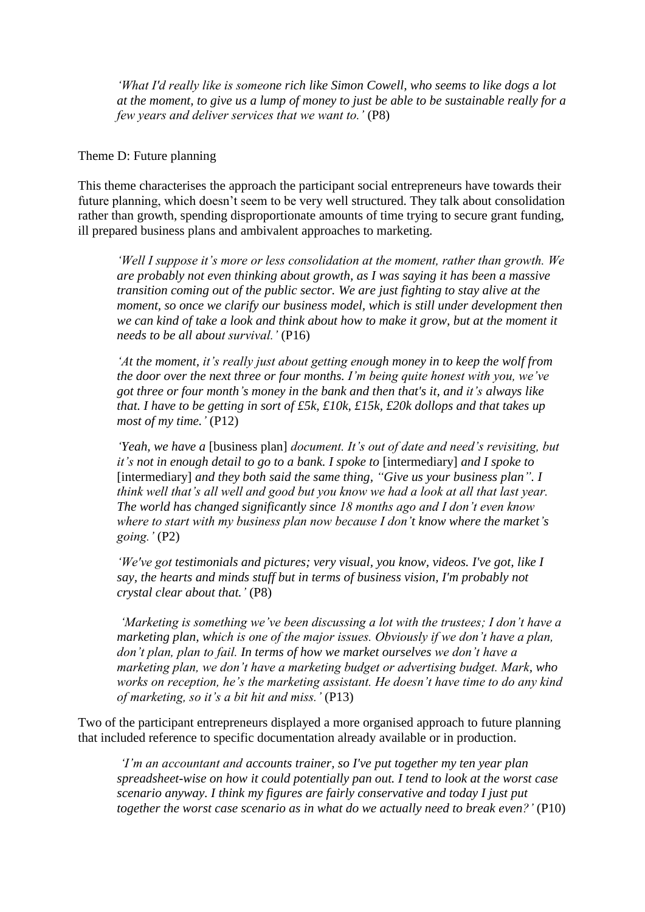*'What I'd really like is someone rich like Simon Cowell, who seems to like dogs a lot at the moment, to give us a lump of money to just be able to be sustainable really for a few years and deliver services that we want to.'* (P8)

#### Theme D: Future planning

This theme characterises the approach the participant social entrepreneurs have towards their future planning, which doesn't seem to be very well structured. They talk about consolidation rather than growth, spending disproportionate amounts of time trying to secure grant funding, ill prepared business plans and ambivalent approaches to marketing.

*'Well I suppose it's more or less consolidation at the moment, rather than growth. We are probably not even thinking about growth, as I was saying it has been a massive transition coming out of the public sector. We are just fighting to stay alive at the moment, so once we clarify our business model, which is still under development then we can kind of take a look and think about how to make it grow, but at the moment it needs to be all about survival.'* (P16)

*'At the moment, it's really just about getting enough money in to keep the wolf from the door over the next three or four months. I'm being quite honest with you, we've got three or four month's money in the bank and then that's it, and it's always like that. I have to be getting in sort of £5k, £10k, £15k, £20k dollops and that takes up most of my time.'* (P12)

*'Yeah, we have a* [business plan] *document. It's out of date and need's revisiting, but it's not in enough detail to go to a bank. I spoke to* [intermediary] *and I spoke to*  [intermediary] *and they both said the same thing, "Give us your business plan". I think well that's all well and good but you know we had a look at all that last year. The world has changed significantly since 18 months ago and I don't even know where to start with my business plan now because I don't know where the market's going.'* (P2)

*'We've got testimonials and pictures; very visual, you know, videos. I've got, like I say, the hearts and minds stuff but in terms of business vision, I'm probably not crystal clear about that.'* (P8)

*'Marketing is something we've been discussing a lot with the trustees; I don't have a marketing plan, which is one of the major issues. Obviously if we don't have a plan, don't plan, plan to fail. In terms of how we market ourselves we don't have a marketing plan, we don't have a marketing budget or advertising budget. Mark, who works on reception, he's the marketing assistant. He doesn't have time to do any kind of marketing, so it's a bit hit and miss.'* (P13)

Two of the participant entrepreneurs displayed a more organised approach to future planning that included reference to specific documentation already available or in production.

*'I'm an accountant and accounts trainer, so I've put together my ten year plan spreadsheet-wise on how it could potentially pan out. I tend to look at the worst case scenario anyway. I think my figures are fairly conservative and today I just put together the worst case scenario as in what do we actually need to break even?'* (P10)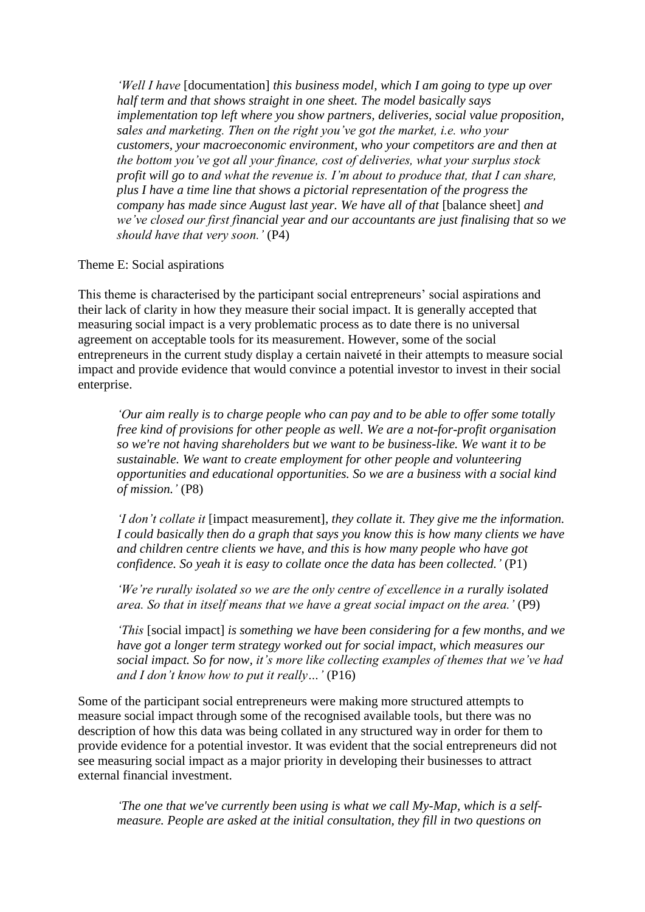*'Well I have* [documentation] *this business model, which I am going to type up over half term and that shows straight in one sheet. The model basically says implementation top left where you show partners, deliveries, social value proposition, sales and marketing. Then on the right you've got the market, i.e. who your customers, your macroeconomic environment, who your competitors are and then at the bottom you've got all your finance, cost of deliveries, what your surplus stock profit will go to and what the revenue is. I'm about to produce that, that I can share, plus I have a time line that shows a pictorial representation of the progress the company has made since August last year. We have all of that [balance sheet] and we've closed our first financial year and our accountants are just finalising that so we should have that very soon.'* (P4)

Theme E: Social aspirations

This theme is characterised by the participant social entrepreneurs' social aspirations and their lack of clarity in how they measure their social impact. It is generally accepted that measuring social impact is a very problematic process as to date there is no universal agreement on acceptable tools for its measurement. However, some of the social entrepreneurs in the current study display a certain naiveté in their attempts to measure social impact and provide evidence that would convince a potential investor to invest in their social enterprise.

*'Our aim really is to charge people who can pay and to be able to offer some totally free kind of provisions for other people as well. We are a not-for-profit organisation so we're not having shareholders but we want to be business-like. We want it to be sustainable. We want to create employment for other people and volunteering opportunities and educational opportunities. So we are a business with a social kind of mission.'* (P8)

*'I don't collate it* [impact measurement]*, they collate it. They give me the information. I could basically then do a graph that says you know this is how many clients we have and children centre clients we have, and this is how many people who have got confidence. So yeah it is easy to collate once the data has been collected.'* (P1)

*'We're rurally isolated so we are the only centre of excellence in a rurally isolated area. So that in itself means that we have a great social impact on the area.'* (P9)

*'This* [social impact] *is something we have been considering for a few months, and we have got a longer term strategy worked out for social impact, which measures our social impact. So for now, it's more like collecting examples of themes that we've had and I don't know how to put it really…'* (P16)

Some of the participant social entrepreneurs were making more structured attempts to measure social impact through some of the recognised available tools, but there was no description of how this data was being collated in any structured way in order for them to provide evidence for a potential investor. It was evident that the social entrepreneurs did not see measuring social impact as a major priority in developing their businesses to attract external financial investment.

*'The one that we've currently been using is what we call My-Map, which is a selfmeasure. People are asked at the initial consultation, they fill in two questions on*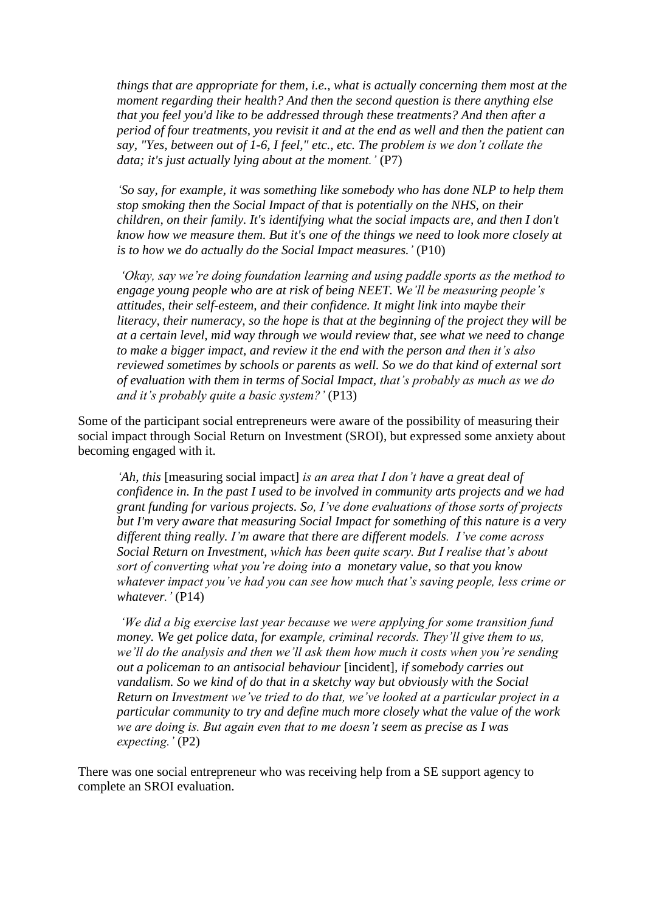*things that are appropriate for them, i.e., what is actually concerning them most at the moment regarding their health? And then the second question is there anything else that you feel you'd like to be addressed through these treatments? And then after a period of four treatments, you revisit it and at the end as well and then the patient can say, "Yes, between out of 1-6, I feel," etc., etc. The problem is we don't collate the data; it's just actually lying about at the moment.'* (P7)

*'So say, for example, it was something like somebody who has done NLP to help them stop smoking then the Social Impact of that is potentially on the NHS, on their children, on their family. It's identifying what the social impacts are, and then I don't know how we measure them. But it's one of the things we need to look more closely at is to how we do actually do the Social Impact measures.'* (P10)

*'Okay, say we're doing foundation learning and using paddle sports as the method to engage young people who are at risk of being NEET. We'll be measuring people's attitudes, their self-esteem, and their confidence. It might link into maybe their literacy, their numeracy, so the hope is that at the beginning of the project they will be at a certain level, mid way through we would review that, see what we need to change to make a bigger impact, and review it the end with the person and then it's also reviewed sometimes by schools or parents as well. So we do that kind of external sort of evaluation with them in terms of Social Impact, that's probably as much as we do and it's probably quite a basic system?'* (P13)

Some of the participant social entrepreneurs were aware of the possibility of measuring their social impact through Social Return on Investment (SROI), but expressed some anxiety about becoming engaged with it.

*'Ah, this* [measuring social impact] *is an area that I don't have a great deal of confidence in. In the past I used to be involved in community arts projects and we had grant funding for various projects. So, I've done evaluations of those sorts of projects but I'm very aware that measuring Social Impact for something of this nature is a very different thing really. I'm aware that there are different models. I've come across Social Return on Investment, which has been quite scary. But I realise that's about sort of converting what you're doing into a monetary value, so that you know whatever impact you've had you can see how much that's saving people, less crime or whatever.'* (P14)

*'We did a big exercise last year because we were applying for some transition fund money. We get police data, for example, criminal records. They'll give them to us, we'll do the analysis and then we'll ask them how much it costs when you're sending out a policeman to an antisocial behaviour* [incident]*, if somebody carries out vandalism. So we kind of do that in a sketchy way but obviously with the Social Return on Investment we've tried to do that, we've looked at a particular project in a particular community to try and define much more closely what the value of the work we are doing is. But again even that to me doesn't seem as precise as I was expecting.'* (P2)

There was one social entrepreneur who was receiving help from a SE support agency to complete an SROI evaluation.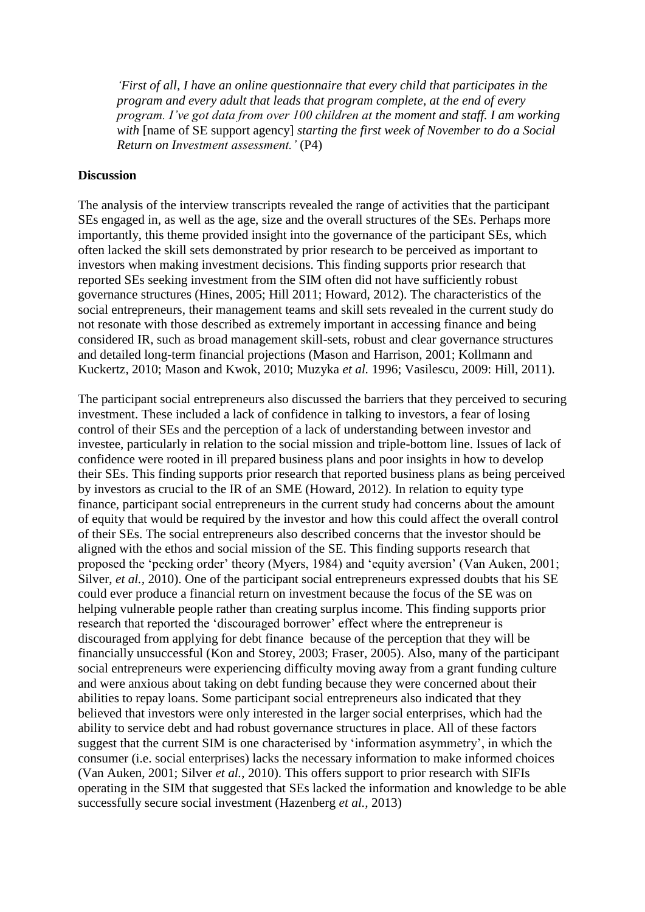*'First of all, I have an online questionnaire that every child that participates in the program and every adult that leads that program complete, at the end of every program. I've got data from over 100 children at the moment and staff. I am working with* [name of SE support agency] *starting the first week of November to do a Social Return on Investment assessment.'* (P4)

#### **Discussion**

The analysis of the interview transcripts revealed the range of activities that the participant SEs engaged in, as well as the age, size and the overall structures of the SEs. Perhaps more importantly, this theme provided insight into the governance of the participant SEs, which often lacked the skill sets demonstrated by prior research to be perceived as important to investors when making investment decisions. This finding supports prior research that reported SEs seeking investment from the SIM often did not have sufficiently robust governance structures (Hines, 2005; Hill 2011; Howard, 2012). The characteristics of the social entrepreneurs, their management teams and skill sets revealed in the current study do not resonate with those described as extremely important in accessing finance and being considered IR, such as broad management skill-sets, robust and clear governance structures and detailed long-term financial projections (Mason and Harrison, 2001; Kollmann and Kuckertz, 2010; Mason and Kwok, 2010; Muzyka *et al.* 1996; Vasilescu, 2009: Hill, 2011).

The participant social entrepreneurs also discussed the barriers that they perceived to securing investment. These included a lack of confidence in talking to investors, a fear of losing control of their SEs and the perception of a lack of understanding between investor and investee, particularly in relation to the social mission and triple-bottom line. Issues of lack of confidence were rooted in ill prepared business plans and poor insights in how to develop their SEs. This finding supports prior research that reported business plans as being perceived by investors as crucial to the IR of an SME (Howard, 2012). In relation to equity type finance, participant social entrepreneurs in the current study had concerns about the amount of equity that would be required by the investor and how this could affect the overall control of their SEs. The social entrepreneurs also described concerns that the investor should be aligned with the ethos and social mission of the SE. This finding supports research that proposed the 'pecking order' theory (Myers, 1984) and 'equity aversion' (Van Auken, 2001; Silver, *et al.*, 2010). One of the participant social entrepreneurs expressed doubts that his SE could ever produce a financial return on investment because the focus of the SE was on helping vulnerable people rather than creating surplus income. This finding supports prior research that reported the 'discouraged borrower' effect where the entrepreneur is discouraged from applying for debt finance because of the perception that they will be financially unsuccessful (Kon and Storey, 2003; Fraser, 2005). Also, many of the participant social entrepreneurs were experiencing difficulty moving away from a grant funding culture and were anxious about taking on debt funding because they were concerned about their abilities to repay loans. Some participant social entrepreneurs also indicated that they believed that investors were only interested in the larger social enterprises, which had the ability to service debt and had robust governance structures in place. All of these factors suggest that the current SIM is one characterised by 'information asymmetry', in which the consumer (i.e. social enterprises) lacks the necessary information to make informed choices (Van Auken, 2001; Silver *et al.*, 2010). This offers support to prior research with SIFIs operating in the SIM that suggested that SEs lacked the information and knowledge to be able successfully secure social investment (Hazenberg *et al.,* 2013)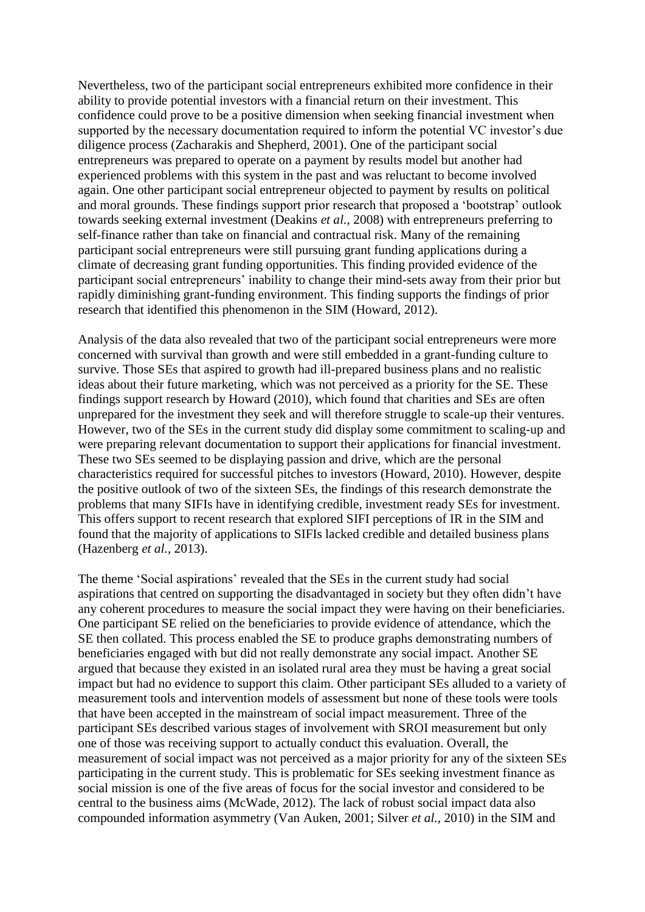Nevertheless, two of the participant social entrepreneurs exhibited more confidence in their ability to provide potential investors with a financial return on their investment. This confidence could prove to be a positive dimension when seeking financial investment when supported by the necessary documentation required to inform the potential VC investor's due diligence process (Zacharakis and Shepherd, 2001). One of the participant social entrepreneurs was prepared to operate on a payment by results model but another had experienced problems with this system in the past and was reluctant to become involved again. One other participant social entrepreneur objected to payment by results on political and moral grounds. These findings support prior research that proposed a 'bootstrap' outlook towards seeking external investment (Deakins *et al.,* 2008) with entrepreneurs preferring to self-finance rather than take on financial and contractual risk. Many of the remaining participant social entrepreneurs were still pursuing grant funding applications during a climate of decreasing grant funding opportunities. This finding provided evidence of the participant social entrepreneurs' inability to change their mind-sets away from their prior but rapidly diminishing grant-funding environment. This finding supports the findings of prior research that identified this phenomenon in the SIM (Howard, 2012).

Analysis of the data also revealed that two of the participant social entrepreneurs were more concerned with survival than growth and were still embedded in a grant-funding culture to survive. Those SEs that aspired to growth had ill-prepared business plans and no realistic ideas about their future marketing, which was not perceived as a priority for the SE. These findings support research by Howard (2010), which found that charities and SEs are often unprepared for the investment they seek and will therefore struggle to scale-up their ventures. However, two of the SEs in the current study did display some commitment to scaling-up and were preparing relevant documentation to support their applications for financial investment. These two SEs seemed to be displaying passion and drive, which are the personal characteristics required for successful pitches to investors (Howard, 2010). However, despite the positive outlook of two of the sixteen SEs, the findings of this research demonstrate the problems that many SIFIs have in identifying credible, investment ready SEs for investment. This offers support to recent research that explored SIFI perceptions of IR in the SIM and found that the majority of applications to SIFIs lacked credible and detailed business plans (Hazenberg *et al.*, 2013).

The theme 'Social aspirations' revealed that the SEs in the current study had social aspirations that centred on supporting the disadvantaged in society but they often didn't have any coherent procedures to measure the social impact they were having on their beneficiaries. One participant SE relied on the beneficiaries to provide evidence of attendance, which the SE then collated. This process enabled the SE to produce graphs demonstrating numbers of beneficiaries engaged with but did not really demonstrate any social impact. Another SE argued that because they existed in an isolated rural area they must be having a great social impact but had no evidence to support this claim. Other participant SEs alluded to a variety of measurement tools and intervention models of assessment but none of these tools were tools that have been accepted in the mainstream of social impact measurement. Three of the participant SEs described various stages of involvement with SROI measurement but only one of those was receiving support to actually conduct this evaluation. Overall, the measurement of social impact was not perceived as a major priority for any of the sixteen SEs participating in the current study. This is problematic for SEs seeking investment finance as social mission is one of the five areas of focus for the social investor and considered to be central to the business aims (McWade, 2012). The lack of robust social impact data also compounded information asymmetry (Van Auken, 2001; Silver *et al.*, 2010) in the SIM and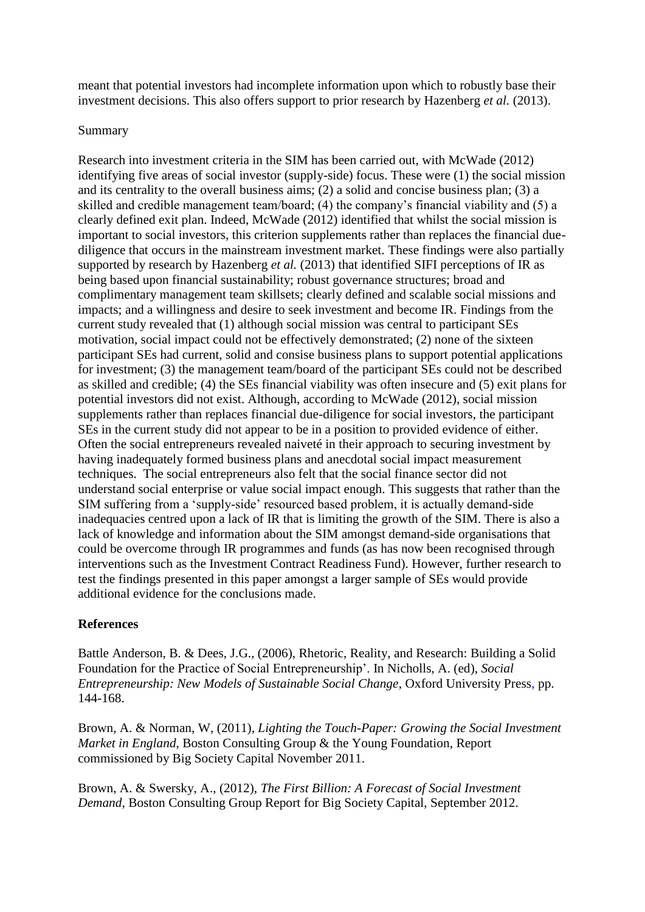meant that potential investors had incomplete information upon which to robustly base their investment decisions. This also offers support to prior research by Hazenberg *et al.* (2013).

## Summary

Research into investment criteria in the SIM has been carried out, with McWade (2012) identifying five areas of social investor (supply-side) focus. These were (1) the social mission and its centrality to the overall business aims; (2) a solid and concise business plan; (3) a skilled and credible management team/board; (4) the company's financial viability and (5) a clearly defined exit plan. Indeed, McWade (2012) identified that whilst the social mission is important to social investors, this criterion supplements rather than replaces the financial duediligence that occurs in the mainstream investment market. These findings were also partially supported by research by Hazenberg *et al.* (2013) that identified SIFI perceptions of IR as being based upon financial sustainability; robust governance structures; broad and complimentary management team skillsets; clearly defined and scalable social missions and impacts; and a willingness and desire to seek investment and become IR. Findings from the current study revealed that (1) although social mission was central to participant SEs motivation, social impact could not be effectively demonstrated; (2) none of the sixteen participant SEs had current, solid and consise business plans to support potential applications for investment; (3) the management team/board of the participant SEs could not be described as skilled and credible; (4) the SEs financial viability was often insecure and (5) exit plans for potential investors did not exist. Although, according to McWade (2012), social mission supplements rather than replaces financial due-diligence for social investors, the participant SEs in the current study did not appear to be in a position to provided evidence of either. Often the social entrepreneurs revealed naiveté in their approach to securing investment by having inadequately formed business plans and anecdotal social impact measurement techniques. The social entrepreneurs also felt that the social finance sector did not understand social enterprise or value social impact enough. This suggests that rather than the SIM suffering from a 'supply-side' resourced based problem, it is actually demand-side inadequacies centred upon a lack of IR that is limiting the growth of the SIM. There is also a lack of knowledge and information about the SIM amongst demand-side organisations that could be overcome through IR programmes and funds (as has now been recognised through interventions such as the Investment Contract Readiness Fund). However, further research to test the findings presented in this paper amongst a larger sample of SEs would provide additional evidence for the conclusions made.

# **References**

Battle Anderson, B. & Dees, J.G., (2006), Rhetoric, Reality, and Research: Building a Solid Foundation for the Practice of Social Entrepreneurship'. In Nicholls, A. (ed), *Social Entrepreneurship: New Models of Sustainable Social Change*, Oxford University Press, pp. 144-168.

Brown, A. & Norman, W, (2011), *Lighting the Touch-Paper: Growing the Social Investment Market in England*, Boston Consulting Group & the Young Foundation, Report commissioned by Big Society Capital November 2011.

Brown, A. & Swersky, A., (2012), *The First Billion: A Forecast of Social Investment Demand*, Boston Consulting Group Report for Big Society Capital, September 2012.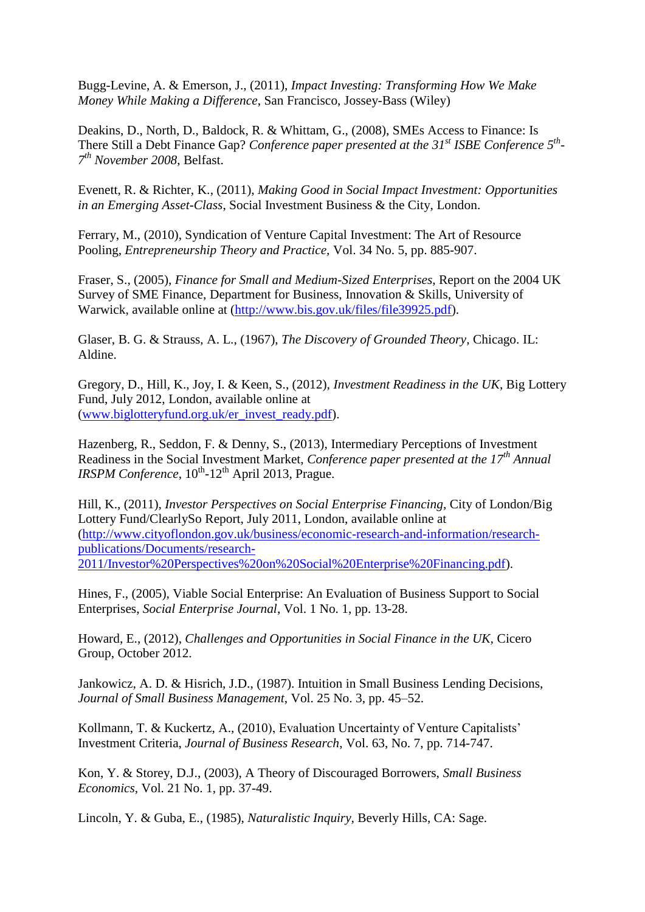Bugg-Levine, A. & Emerson, J., (2011), *Impact Investing: Transforming How We Make Money While Making a Difference*, San Francisco, Jossey-Bass (Wiley)

Deakins, D., North, D., Baldock, R. & Whittam, G., (2008), SMEs Access to Finance: Is There Still a Debt Finance Gap? *Conference paper presented at the 31st ISBE Conference 5th - 7 th November 2008*, Belfast.

Evenett, R. & Richter, K., (2011), *Making Good in Social Impact Investment: Opportunities in an Emerging Asset-Class*, Social Investment Business & the City, London.

Ferrary, M., (2010), Syndication of Venture Capital Investment: The Art of Resource Pooling, *Entrepreneurship Theory and Practice,* Vol. 34 No. 5, pp. 885-907.

Fraser, S., (2005), *Finance for Small and Medium-Sized Enterprises*, Report on the 2004 UK Survey of SME Finance, Department for Business, Innovation & Skills, University of Warwick, available online at [\(http://www.bis.gov.uk/files/file39925.pdf\)](http://www.bis.gov.uk/files/file39925.pdf).

Glaser, B. G. & Strauss, A. L., (1967), *The Discovery of Grounded Theory,* Chicago. IL: Aldine.

Gregory, D., Hill, K., Joy, I. & Keen, S., (2012), *Investment Readiness in the UK*, Big Lottery Fund, July 2012, London, available online at [\(www.biglotteryfund.org.uk/er\\_invest\\_ready.pdf\)](http://www.biglotteryfund.org.uk/er_invest_ready.pdf).

Hazenberg, R., Seddon, F. & Denny, S., (2013), Intermediary Perceptions of Investment Readiness in the Social Investment Market, *Conference paper presented at the 17th Annual*  IRSPM Conference,  $10^{th}$ -12<sup>th</sup> April 2013, Prague.

Hill, K., (2011), *Investor Perspectives on Social Enterprise Financing*, City of London/Big Lottery Fund/ClearlySo Report, July 2011, London, available online at [\(http://www.cityoflondon.gov.uk/business/economic-research-and-information/research](http://www.cityoflondon.gov.uk/business/economic-research-and-information/research-publications/Documents/research-2011/Investor%20Perspectives%20on%20Social%20Enterprise%20Financing.pdf)[publications/Documents/research-](http://www.cityoflondon.gov.uk/business/economic-research-and-information/research-publications/Documents/research-2011/Investor%20Perspectives%20on%20Social%20Enterprise%20Financing.pdf)[2011/Investor%20Perspectives%20on%20Social%20Enterprise%20Financing.pdf\)](http://www.cityoflondon.gov.uk/business/economic-research-and-information/research-publications/Documents/research-2011/Investor%20Perspectives%20on%20Social%20Enterprise%20Financing.pdf).

Hines, F., (2005), Viable Social Enterprise: An Evaluation of Business Support to Social Enterprises, *Social Enterprise Journal*, Vol. 1 No. 1, pp. 13-28.

Howard, E., (2012), *Challenges and Opportunities in Social Finance in the UK,* Cicero Group, October 2012.

Jankowicz, A. D. & Hisrich, J.D., (1987). Intuition in Small Business Lending Decisions, *Journal of Small Business Management*, Vol. 25 No. 3, pp. 45–52.

Kollmann, T. & Kuckertz, A., (2010), Evaluation Uncertainty of Venture Capitalists' Investment Criteria, *Journal of Business Research*, Vol. 63, No. 7, pp. 714-747.

Kon, Y. & Storey, D.J., (2003), A Theory of Discouraged Borrowers, *Small Business Economics*, Vol. 21 No. 1, pp. 37-49.

Lincoln, Y. & Guba, E., (1985), *Naturalistic Inquiry,* Beverly Hills, CA: Sage.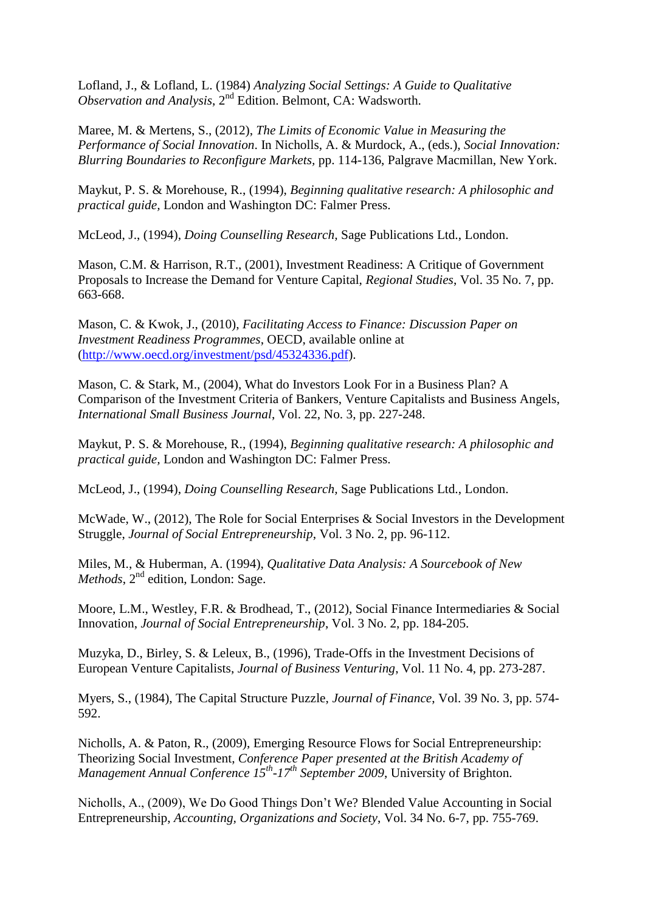Lofland, J., & Lofland, L. (1984) *Analyzing Social Settings: A Guide to Qualitative Observation and Analysis*, 2<sup>nd</sup> Edition. Belmont, CA: Wadsworth.

Maree, M. & Mertens, S., (2012), *The Limits of Economic Value in Measuring the Performance of Social Innovation*. In Nicholls, A. & Murdock, A., (eds.), *Social Innovation: Blurring Boundaries to Reconfigure Markets,* pp. 114-136, Palgrave Macmillan, New York.

Maykut, P. S. & Morehouse, R., (1994), *Beginning qualitative research: A philosophic and practical guide,* London and Washington DC: Falmer Press.

McLeod, J., (1994), *Doing Counselling Research,* Sage Publications Ltd., London.

Mason, C.M. & Harrison, R.T., (2001), Investment Readiness: A Critique of Government Proposals to Increase the Demand for Venture Capital, *Regional Studies*, Vol. 35 No. 7, pp. 663-668.

Mason, C. & Kwok, J., (2010), *Facilitating Access to Finance: Discussion Paper on Investment Readiness Programmes*, OECD, available online at [\(http://www.oecd.org/investment/psd/45324336.pdf\)](http://www.oecd.org/investment/psd/45324336.pdf).

Mason, C. & Stark, M., (2004), What do Investors Look For in a Business Plan? A Comparison of the Investment Criteria of Bankers, Venture Capitalists and Business Angels, *International Small Business Journal*, Vol. 22, No. 3, pp. 227-248.

Maykut, P. S. & Morehouse, R., (1994), *Beginning qualitative research: A philosophic and practical guide,* London and Washington DC: Falmer Press.

McLeod, J., (1994), *Doing Counselling Research,* Sage Publications Ltd., London.

McWade, W., (2012), The Role for Social Enterprises & Social Investors in the Development Struggle, *Journal of Social Entrepreneurship*, Vol. 3 No. 2, pp. 96-112.

Miles, M., & Huberman, A. (1994), *Qualitative Data Analysis: A Sourcebook of New Methods*,  $2^{nd}$  edition, London: Sage.

Moore, L.M., Westley, F.R. & Brodhead, T., (2012), Social Finance Intermediaries & Social Innovation, *Journal of Social Entrepreneurship*, Vol. 3 No. 2, pp. 184-205.

Muzyka, D., Birley, S. & Leleux, B., (1996), Trade-Offs in the Investment Decisions of European Venture Capitalists, *Journal of Business Venturing*, Vol. 11 No. 4, pp. 273-287.

Myers, S., (1984), The Capital Structure Puzzle, *Journal of Finance*, Vol. 39 No. 3, pp. 574- 592.

Nicholls, A. & Paton, R., (2009), Emerging Resource Flows for Social Entrepreneurship: Theorizing Social Investment, *Conference Paper presented at the British Academy of Management Annual Conference 15th -17th September 2009*, University of Brighton.

Nicholls, A., (2009), We Do Good Things Don't We? Blended Value Accounting in Social Entrepreneurship, *Accounting, Organizations and Society*, Vol. 34 No. 6-7, pp. 755-769.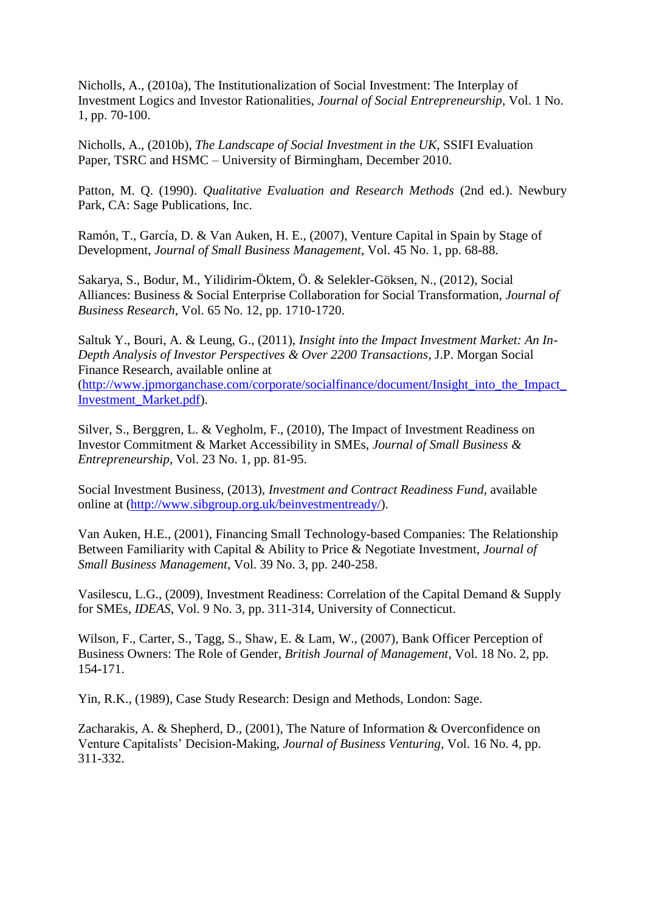Nicholls, A., (2010a), The Institutionalization of Social Investment: The Interplay of Investment Logics and Investor Rationalities, *Journal of Social Entrepreneurship*, Vol. 1 No. 1, pp. 70-100.

Nicholls, A., (2010b), *The Landscape of Social Investment in the UK*, SSIFI Evaluation Paper, TSRC and HSMC – University of Birmingham, December 2010.

Patton, M. Q. (1990). *Qualitative Evaluation and Research Methods* (2nd ed.). Newbury Park, CA: Sage Publications, Inc.

Ramón, T., García, D. & Van Auken, H. E., (2007), Venture Capital in Spain by Stage of Development, *Journal of Small Business Management*, Vol. 45 No. 1, pp. 68-88.

Sakarya, S., Bodur, M., Yilidirim-Öktem, Ö. & Selekler-Göksen, N., (2012), Social Alliances: Business & Social Enterprise Collaboration for Social Transformation, *Journal of Business Research*, Vol. 65 No. 12, pp. 1710-1720.

Saltuk Y., Bouri, A. & Leung, G., (2011), *Insight into the Impact Investment Market: An In-Depth Analysis of Investor Perspectives & Over 2200 Transactions*, J.P. Morgan Social Finance Research, available online at

[\(http://www.jpmorganchase.com/corporate/socialfinance/document/Insight\\_into\\_the\\_Impact\\_](http://www.jpmorganchase.com/corporate/socialfinance/document/Insight_into_the_Impact_Investment_Market.pdf) [Investment\\_Market.pdf\)](http://www.jpmorganchase.com/corporate/socialfinance/document/Insight_into_the_Impact_Investment_Market.pdf).

Silver, S., Berggren, L. & Vegholm, F., (2010), The Impact of Investment Readiness on Investor Commitment & Market Accessibility in SMEs, *Journal of Small Business & Entrepreneurship*, Vol. 23 No. 1, pp. 81-95.

Social Investment Business, (2013), *Investment and Contract Readiness Fund*, available online at [\(http://www.sibgroup.org.uk/beinvestmentready/\)](http://www.sibgroup.org.uk/beinvestmentready/).

Van Auken, H.E., (2001), Financing Small Technology-based Companies: The Relationship Between Familiarity with Capital & Ability to Price & Negotiate Investment, *Journal of Small Business Management*, Vol. 39 No. 3, pp. 240-258.

Vasilescu, L.G., (2009), Investment Readiness: Correlation of the Capital Demand & Supply for SMEs, *IDEAS*, Vol. 9 No. 3, pp. 311-314, University of Connecticut.

Wilson, F., Carter, S., Tagg, S., Shaw, E. & Lam, W., (2007), Bank Officer Perception of Business Owners: The Role of Gender, *British Journal of Management*, Vol. 18 No. 2, pp. 154-171.

Yin, R.K., (1989), Case Study Research: Design and Methods, London: Sage.

Zacharakis, A. & Shepherd, D., (2001), The Nature of Information & Overconfidence on Venture Capitalists' Decision-Making, *Journal of Business Venturing,* Vol. 16 No. 4, pp. 311-332.